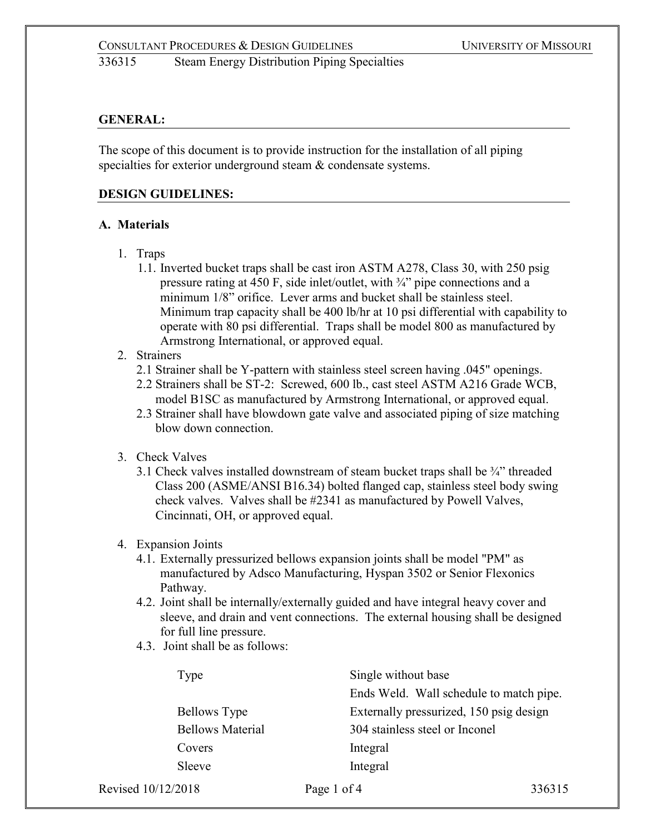## **GENERAL:**

The scope of this document is to provide instruction for the installation of all piping specialties for exterior underground steam & condensate systems.

### **DESIGN GUIDELINES:**

### **A. Materials**

- 1. Traps
	- 1.1. Inverted bucket traps shall be cast iron ASTM A278, Class 30, with 250 psig pressure rating at 450 F, side inlet/outlet, with ¾" pipe connections and a minimum  $1/8$ " orifice. Lever arms and bucket shall be stainless steel. Minimum trap capacity shall be 400 lb/hr at 10 psi differential with capability to operate with 80 psi differential. Traps shall be model 800 as manufactured by Armstrong International, or approved equal.
- 2. Strainers
	- 2.1 Strainer shall be Y-pattern with stainless steel screen having .045" openings.
	- 2.2 Strainers shall be ST-2: Screwed, 600 lb., cast steel ASTM A216 Grade WCB, model B1SC as manufactured by Armstrong International, or approved equal.
	- 2.3 Strainer shall have blowdown gate valve and associated piping of size matching blow down connection.
- 3. Check Valves
	- 3.1 Check valves installed downstream of steam bucket traps shall be  $\frac{3}{4}$ " threaded Class 200 (ASME/ANSI B16.34) bolted flanged cap, stainless steel body swing check valves. Valves shall be #2341 as manufactured by Powell Valves, Cincinnati, OH, or approved equal.

## 4. Expansion Joints

- 4.1. Externally pressurized bellows expansion joints shall be model "PM" as manufactured by Adsco Manufacturing, Hyspan 3502 or Senior Flexonics Pathway.
- 4.2. Joint shall be internally/externally guided and have integral heavy cover and sleeve, and drain and vent connections. The external housing shall be designed for full line pressure.
- 4.3. Joint shall be as follows:

| Type                    | Single without base                     |
|-------------------------|-----------------------------------------|
|                         | Ends Weld. Wall schedule to match pipe. |
| <b>Bellows Type</b>     | Externally pressurized, 150 psig design |
| <b>Bellows Material</b> | 304 stainless steel or Inconel          |
| Covers                  | Integral                                |
| Sleeve                  | Integral                                |
|                         |                                         |

Revised 10/12/2018 **Page 1 of 4** 336315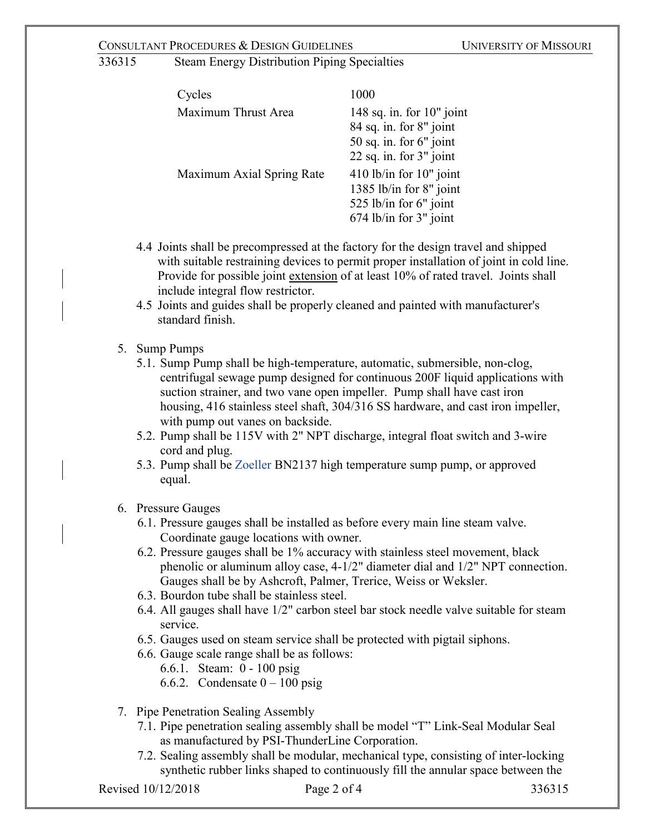## CONSULTANT PROCEDURES & DESIGN GUIDELINES UNIVERSITY OF MISSOURI

336315 Steam Energy Distribution Piping Specialties

| Cycles                    | 1000                                                                                                            |
|---------------------------|-----------------------------------------------------------------------------------------------------------------|
| Maximum Thrust Area       | 148 sq. in. for $10"$ joint<br>84 sq. in. for 8" joint<br>50 sq. in. for $6"$ joint<br>22 sq. in. for 3" joint  |
| Maximum Axial Spring Rate | $410$ lb/in for $10$ " joint<br>1385 lb/in for 8" joint<br>525 lb/in for $6"$ joint<br>$674$ lb/in for 3" joint |

- 4.4 Joints shall be precompressed at the factory for the design travel and shipped with suitable restraining devices to permit proper installation of joint in cold line. Provide for possible joint extension of at least 10% of rated travel. Joints shall include integral flow restrictor.
- 4.5 Joints and guides shall be properly cleaned and painted with manufacturer's standard finish.

## 5. Sump Pumps

- 5.1. Sump Pump shall be high-temperature, automatic, submersible, non-clog, centrifugal sewage pump designed for continuous 200F liquid applications with suction strainer, and two vane open impeller. Pump shall have cast iron housing, 416 stainless steel shaft, 304/316 SS hardware, and cast iron impeller, with pump out vanes on backside.
- 5.2. Pump shall be 115V with 2" NPT discharge, integral float switch and 3-wire cord and plug.
- 5.3. Pump shall be Zoeller BN2137 high temperature sump pump, or approved equal.
- 6. Pressure Gauges
	- 6.1. Pressure gauges shall be installed as before every main line steam valve. Coordinate gauge locations with owner.
	- 6.2. Pressure gauges shall be 1% accuracy with stainless steel movement, black phenolic or aluminum alloy case, 4-1/2" diameter dial and 1/2" NPT connection. Gauges shall be by Ashcroft, Palmer, Trerice, Weiss or Weksler.
	- 6.3. Bourdon tube shall be stainless steel.
	- 6.4. All gauges shall have 1/2" carbon steel bar stock needle valve suitable for steam service.
	- 6.5. Gauges used on steam service shall be protected with pigtail siphons.
	- 6.6. Gauge scale range shall be as follows:
		- 6.6.1. Steam: 0 100 psig
		- 6.6.2. Condensate  $0 100$  psig
- 7. Pipe Penetration Sealing Assembly
	- 7.1. Pipe penetration sealing assembly shall be model "T" Link-Seal Modular Seal as manufactured by PSI-ThunderLine Corporation.
	- 7.2. Sealing assembly shall be modular, mechanical type, consisting of inter-locking synthetic rubber links shaped to continuously fill the annular space between the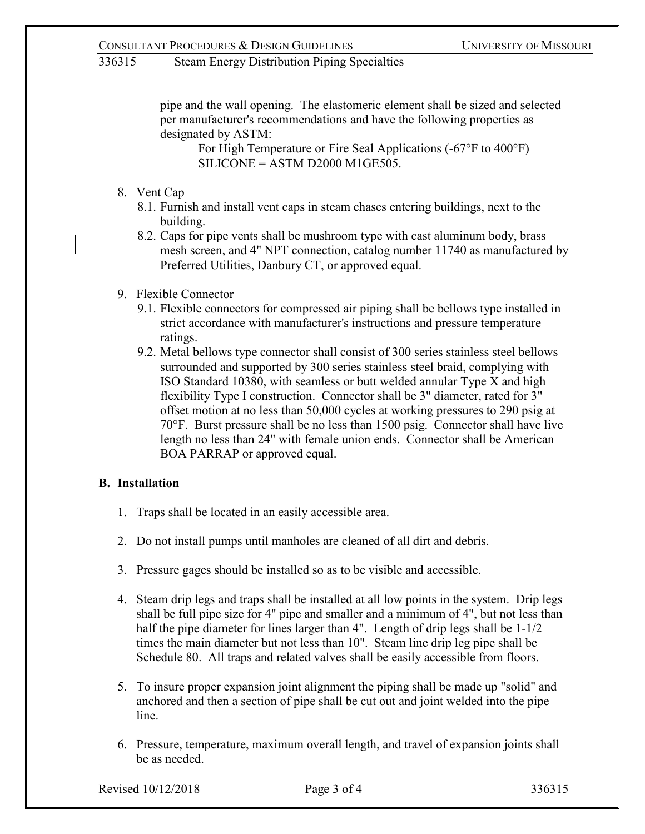# 336315 Steam Energy Distribution Piping Specialties

pipe and the wall opening. The elastomeric element shall be sized and selected per manufacturer's recommendations and have the following properties as designated by ASTM:

For High Temperature or Fire Seal Applications (-67°F to 400°F)  $SILICONE = ASTM D2000 M1GE505.$ 

- 8. Vent Cap
	- 8.1. Furnish and install vent caps in steam chases entering buildings, next to the building.
	- 8.2. Caps for pipe vents shall be mushroom type with cast aluminum body, brass mesh screen, and 4" NPT connection, catalog number 11740 as manufactured by Preferred Utilities, Danbury CT, or approved equal.
- 9. Flexible Connector
	- 9.1. Flexible connectors for compressed air piping shall be bellows type installed in strict accordance with manufacturer's instructions and pressure temperature ratings.
	- 9.2. Metal bellows type connector shall consist of 300 series stainless steel bellows surrounded and supported by 300 series stainless steel braid, complying with ISO Standard 10380, with seamless or butt welded annular Type X and high flexibility Type I construction. Connector shall be 3" diameter, rated for 3" offset motion at no less than 50,000 cycles at working pressures to 290 psig at 70°F. Burst pressure shall be no less than 1500 psig. Connector shall have live length no less than 24" with female union ends. Connector shall be American BOA PARRAP or approved equal.

# **B. Installation**

- 1. Traps shall be located in an easily accessible area.
- 2. Do not install pumps until manholes are cleaned of all dirt and debris.
- 3. Pressure gages should be installed so as to be visible and accessible.
- 4. Steam drip legs and traps shall be installed at all low points in the system. Drip legs shall be full pipe size for 4" pipe and smaller and a minimum of 4", but not less than half the pipe diameter for lines larger than 4". Length of drip legs shall be  $1-1/2$ times the main diameter but not less than 10". Steam line drip leg pipe shall be Schedule 80. All traps and related valves shall be easily accessible from floors.
- 5. To insure proper expansion joint alignment the piping shall be made up "solid" and anchored and then a section of pipe shall be cut out and joint welded into the pipe line.
- 6. Pressure, temperature, maximum overall length, and travel of expansion joints shall be as needed.